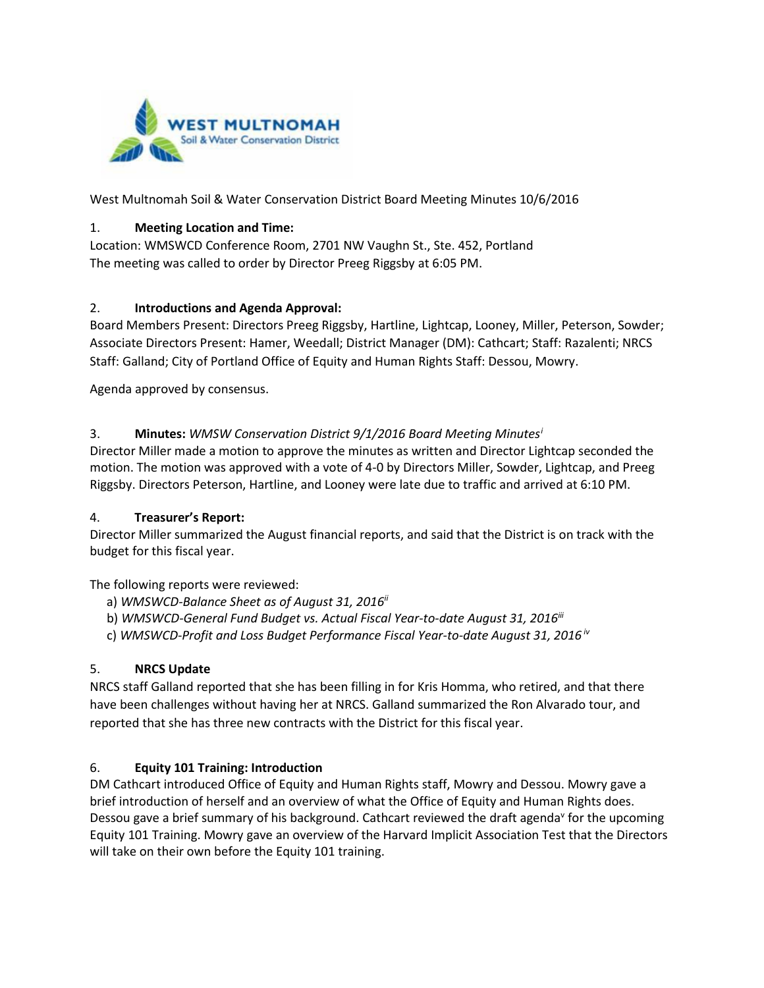

West Multnomah Soil & Water Conservation District Board Meeting Minutes 10/6/2016

### 1. **Meeting Location and Time:**

Location: WMSWCD Conference Room, 2701 NW Vaughn St., Ste. 452, Portland The meeting was called to order by Director Preeg Riggsby at 6:05 PM.

### 2. **Introductions and Agenda Approval:**

Board Members Present: Directors Preeg Riggsby, Hartline, Lightcap, Looney, Miller, Peterson, Sowder; Associate Directors Present: Hamer, Weedall; District Manager (DM): Cathcart; Staff: Razalenti; NRCS Staff: Galland; City of Portland Office of Equity and Human Rights Staff: Dessou, Mowry.

Agenda approved by consensus.

## 3. **Minutes:** *WMSW Conservation District 9/1/2016 Board Meeting Minutes[i](#page-2-0)*

Director Miller made a motion to approve the minutes as written and Director Lightcap seconded the motion. The motion was approved with a vote of 4-0 by Directors Miller, Sowder, Lightcap, and Preeg Riggsby. Directors Peterson, Hartline, and Looney were late due to traffic and arrived at 6:10 PM.

#### 4. **Treasurer's Report:**

Director Miller summarized the August financial reports, and said that the District is on track with the budget for this fiscal year.

#### The following reports were reviewed:

- a) *WMSWCD-Balance Sheet as of August 31, 2016ii*
- b) *WMSWCD-General Fund Budget vs. Actual Fiscal Year-to-date August 31, 2016<sup>iii</sup></sub>*
- c) *WMSWCD-Profit and Loss Budget Performance Fiscal Year-to-date August 31, 2016 iv*

## 5. **NRCS Update**

NRCS staff Galland reported that she has been filling in for Kris Homma, who retired, and that there have been challenges without having her at NRCS. Galland summarized the Ron Alvarado tour, and reported that she has three new contracts with the District for this fiscal year.

## 6. **Equity 101 Training: Introduction**

DM Cathcart introduced Office of Equity and Human Rights staff, Mowry and Dessou. Mowry gave a brief introduction of herself and an overview of what the Office of Equity and Human Rights does. Dessou gave a brief summary of his background. Cathcart reviewed the draft agenda<sup>v</sup> for the upcoming Equity 101 Training. Mowry gave an overview of the Harvard Implicit Association Test that the Directors will take on their own before the Equity 101 training.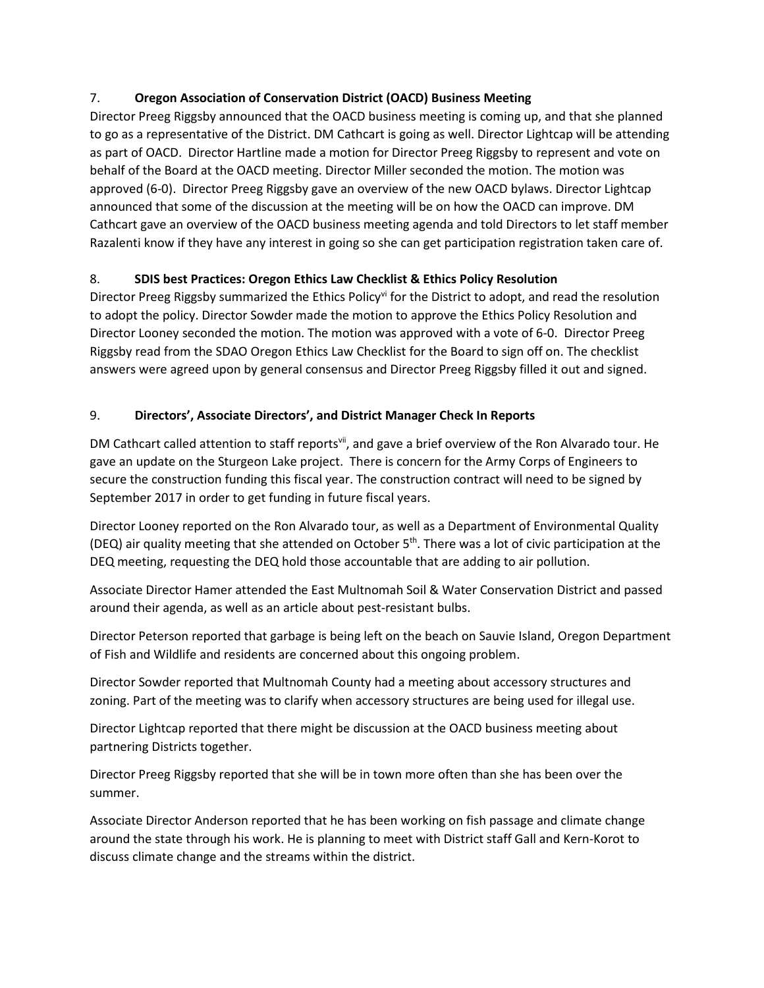# 7. **Oregon Association of Conservation District (OACD) Business Meeting**

Director Preeg Riggsby announced that the OACD business meeting is coming up, and that she planned to go as a representative of the District. DM Cathcart is going as well. Director Lightcap will be attending as part of OACD. Director Hartline made a motion for Director Preeg Riggsby to represent and vote on behalf of the Board at the OACD meeting. Director Miller seconded the motion. The motion was approved (6-0). Director Preeg Riggsby gave an overview of the new OACD bylaws. Director Lightcap announced that some of the discussion at the meeting will be on how the OACD can improve. DM Cathcart gave an overview of the OACD business meeting agenda and told Directors to let staff member Razalenti know if they have any interest in going so she can get participation registration taken care of.

# 8. **SDIS best Practices: Oregon Ethics Law Checklist & Ethics Policy Resolution**

Director Preeg Riggsby summarized the Ethics Policy<sup>vi</sup> for the District to adopt, and read the resolution to adopt the policy. Director Sowder made the motion to approve the Ethics Policy Resolution and Director Looney seconded the motion. The motion was approved with a vote of 6-0. Director Preeg Riggsby read from the SDAO Oregon Ethics Law Checklist for the Board to sign off on. The checklist answers were agreed upon by general consensus and Director Preeg Riggsby filled it out and signed.

# 9. **Directors', Associate Directors', and District Manager Check In Reports**

DM Cathcart called attention to staff reports<sup>vii</sup>, and gave a brief overview of the Ron Alvarado tour. He gave an update on the Sturgeon Lake project. There is concern for the Army Corps of Engineers to secure the construction funding this fiscal year. The construction contract will need to be signed by September 2017 in order to get funding in future fiscal years.

Director Looney reported on the Ron Alvarado tour, as well as a Department of Environmental Quality (DEQ) air quality meeting that she attended on October  $5<sup>th</sup>$ . There was a lot of civic participation at the DEQ meeting, requesting the DEQ hold those accountable that are adding to air pollution.

Associate Director Hamer attended the East Multnomah Soil & Water Conservation District and passed around their agenda, as well as an article about pest-resistant bulbs.

Director Peterson reported that garbage is being left on the beach on Sauvie Island, Oregon Department of Fish and Wildlife and residents are concerned about this ongoing problem.

Director Sowder reported that Multnomah County had a meeting about accessory structures and zoning. Part of the meeting was to clarify when accessory structures are being used for illegal use.

Director Lightcap reported that there might be discussion at the OACD business meeting about partnering Districts together.

Director Preeg Riggsby reported that she will be in town more often than she has been over the summer.

Associate Director Anderson reported that he has been working on fish passage and climate change around the state through his work. He is planning to meet with District staff Gall and Kern-Korot to discuss climate change and the streams within the district.